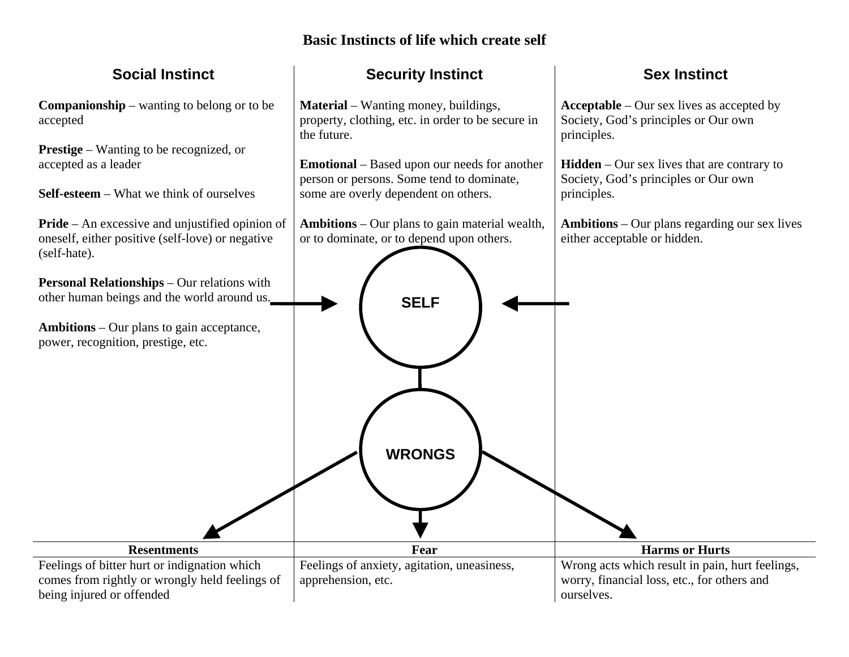## **Basic Instincts of life which create self**